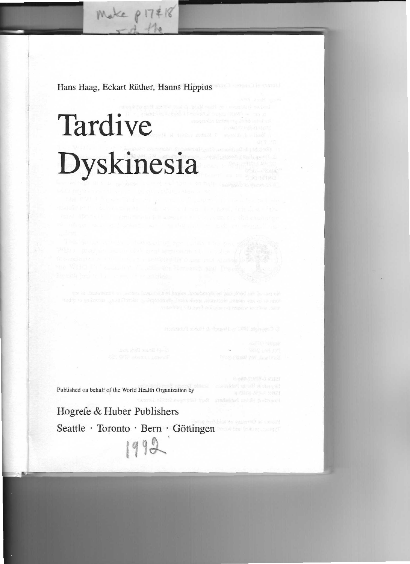Hans Haag, Eckart Rüther, Hanns Hippius

# **Dyskinesia Tardive**

Published on behalf of the World Health Organization by

Hogrefe & Huber Publishers Seattle · Toronto · Bern · Göttingen 111~'

Convenient that in House is the grade planet of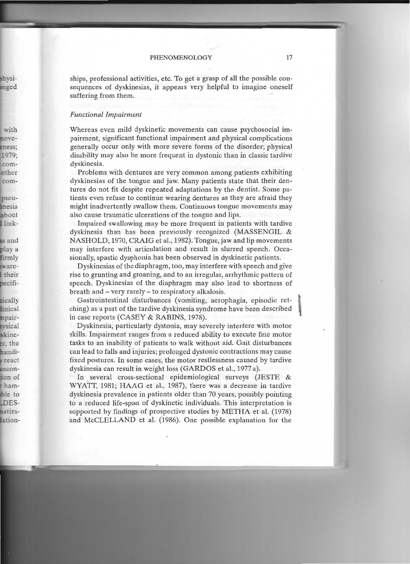ships, professional activities, etc. To get a grasp of all the possible consequences of dyskinesias, it appears very helpful to imagine oneself suffering from them.

## *Functional Impairment*

Whereas even mild dyskinetic movements can cause psychosocial impairment, significant functional impairment and physical complications generally occur only with more severe forms of the disorder; physical disability may also be more frequent in dystonic than in classic tardive dyskinesia.

Problems with dentures are very common among patients exhibiting dyskinesias of the tongue and jaw. Many patients state that their dentures do not fit despite repeated adaptations by the dentist. Some patients even refuse to continue wearing dentures as they are afraid they might inadvertently swallow them. Continuous tongue movements may also cause traumatic ulcerations of the tongue and lips.

Impaired swallowing may be more frequent in patients with tardive dyskinesia than has been previously recognized (MASSENGIL & NASHOLD, 1970, CRAIG et al., 1982). Tongue, jaw and lip movements may interfere with articulation and result in slurred speech. Occasionally, spastic dysphonia has been observed in dyskinetic patients.

Dyskinesias of the diaphragm, too, may interfere with speech and give rise to grunting and groaning, and to an irregular, arrhythmic pattern of speech. Dyskinesias of the diaphragm may also lead to shortness of breath and - very rarely - to respiratory alkalosis.

Gastrointestinal disturbances (vomiting, aerophagia, episodic ret- \ ching) as a part of the tardive dyskinesia syndrome have been described in case reports (CASEY & RABINS, 1978).

Dyskinesia, particularly dystonia, may severely interfere with motor skills. Impairment ranges from a reduced ability to execute fine motor tasks to an inability of patients to walk without aid. Gait disturbances can lead to falls and injuries; prolonged dystonic contractions may cause fixed postures. In some cases, the motor restlessness caused by tardive dyskinesia can result in weight loss (GARDOS et al., 1977 a).

In several cross-sectional epidemiological surveys (JESTE & WYATT, 1981; HAAG et al., 1987), there was a decrease in tardive dyskinesia prevalence in patients older than 70 years, possibly pointing to a reduced life-span of dyskinetic individuals. This interpretation is supported by findings of prospective studies by METRA et al. (1978) and McCLELLAND et al. (1986). One possible explanation for the